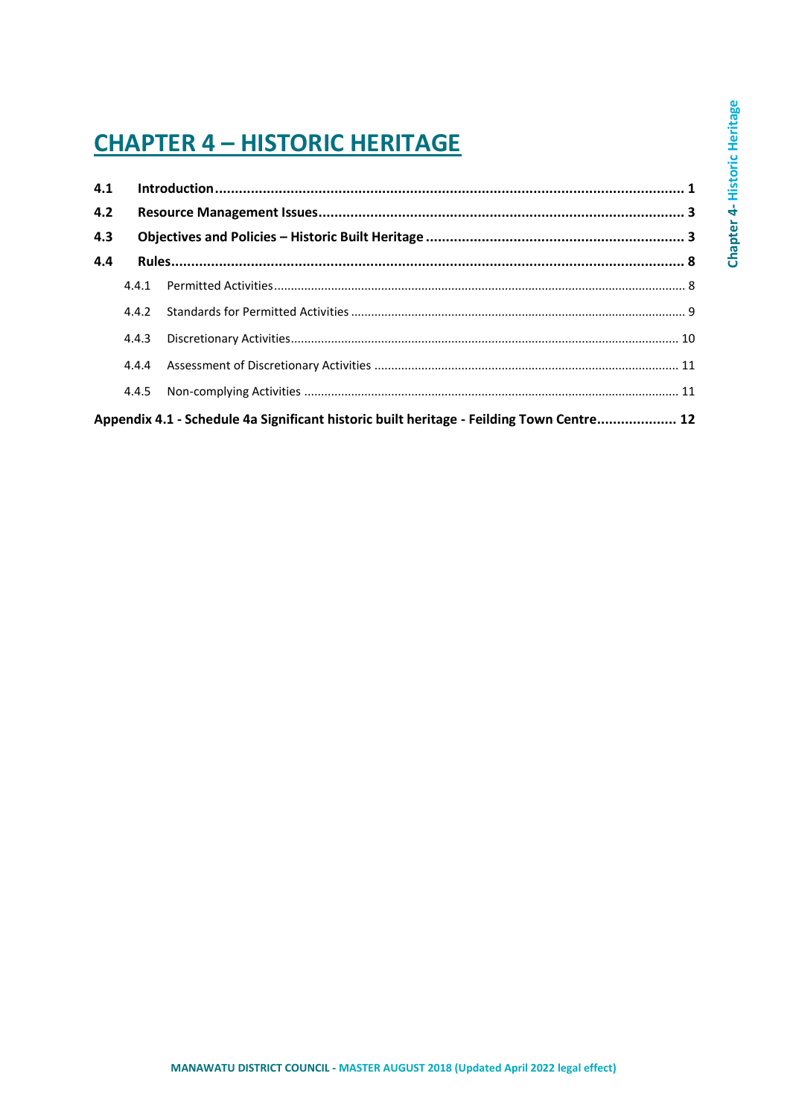# **CHAPTER 4 – HISTORIC HERITAGE**

| 4.1                                                                                      |       |  |  |  |
|------------------------------------------------------------------------------------------|-------|--|--|--|
| 4.2                                                                                      |       |  |  |  |
| 4.3                                                                                      |       |  |  |  |
| 4.4                                                                                      |       |  |  |  |
|                                                                                          | 4.4.1 |  |  |  |
|                                                                                          | 4.4.2 |  |  |  |
|                                                                                          | 4.4.3 |  |  |  |
|                                                                                          | 4.4.4 |  |  |  |
|                                                                                          | 4.4.5 |  |  |  |
| Appendix 4.1 - Schedule 4a Significant historic built heritage - Feilding Town Centre 12 |       |  |  |  |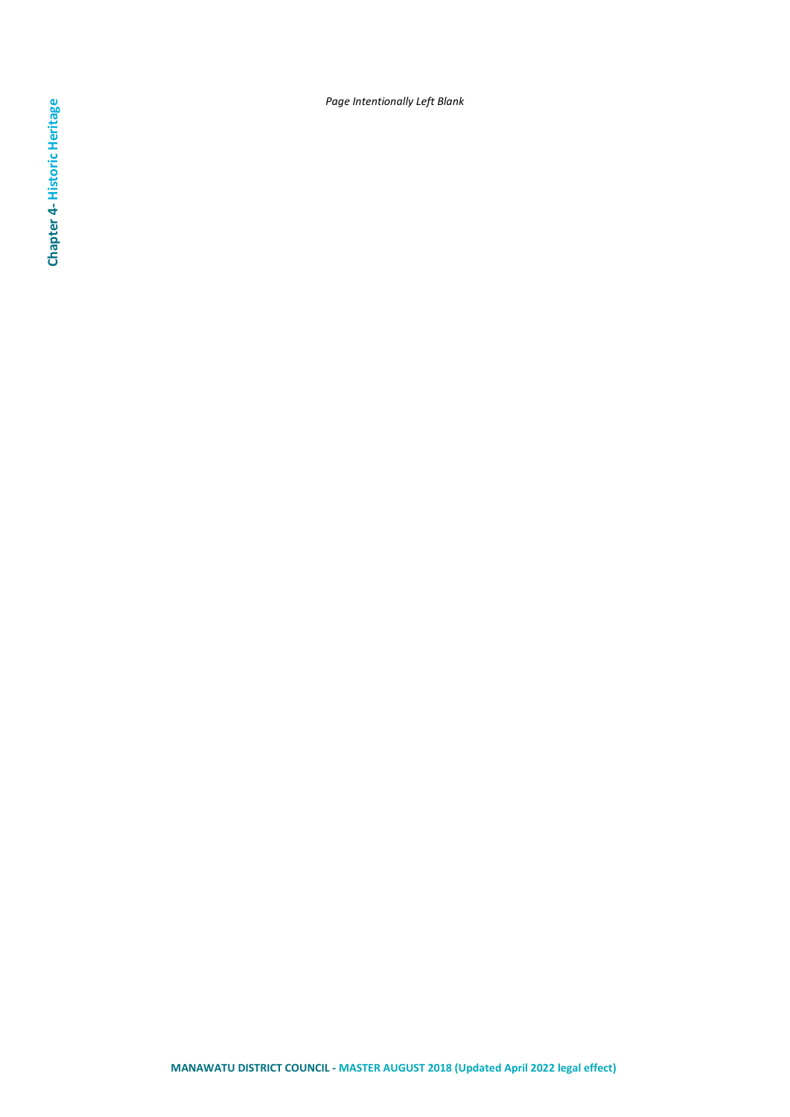*Page Intentionally Left Blank*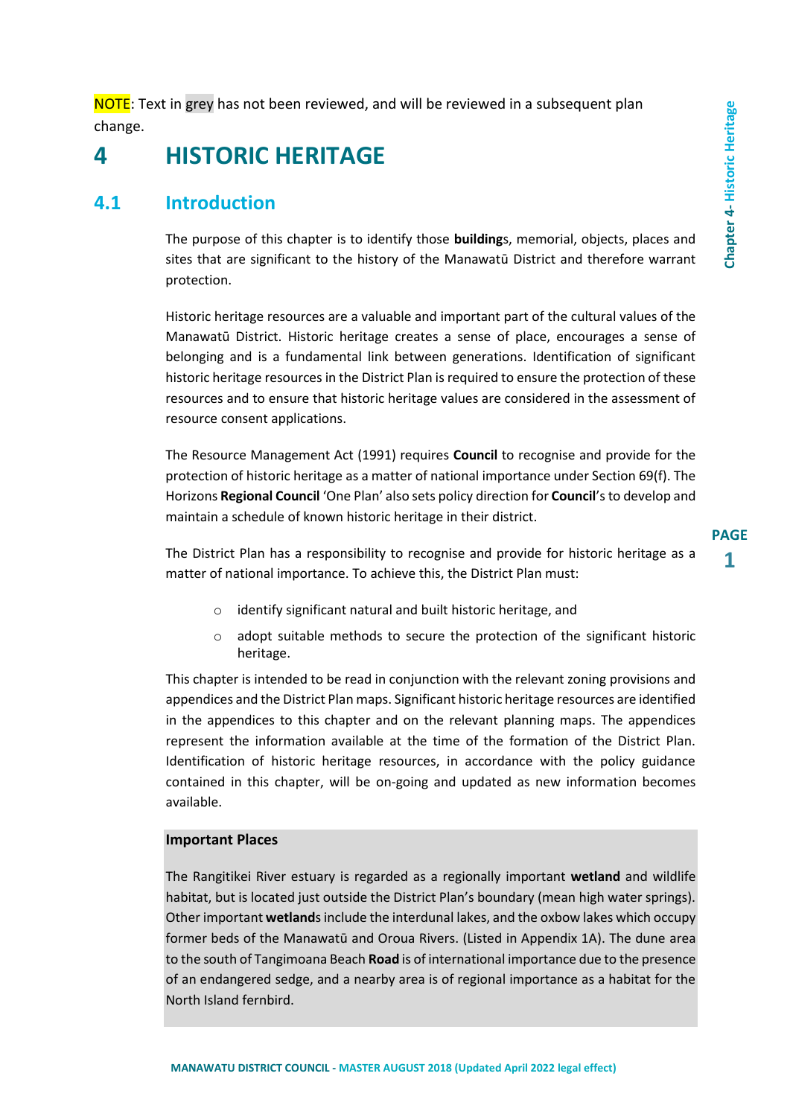NOTE: Text in grey has not been reviewed, and will be reviewed in a subsequent plan change.

# **4 HISTORIC HERITAGE**

## <span id="page-4-0"></span>**4.1 Introduction**

The purpose of this chapter is to identify those **building**s, memorial, objects, places and sites that are significant to the history of the Manawatū District and therefore warrant protection.

Historic heritage resources are a valuable and important part of the cultural values of the Manawatū District. Historic heritage creates a sense of place, encourages a sense of belonging and is a fundamental link between generations. Identification of significant historic heritage resources in the District Plan is required to ensure the protection of these resources and to ensure that historic heritage values are considered in the assessment of resource consent applications.

The Resource Management Act (1991) requires **Council** to recognise and provide for the protection of historic heritage as a matter of national importance under Section 69(f). The Horizons **Regional Council** 'One Plan' also sets policy direction for **Council**'s to develop and maintain a schedule of known historic heritage in their district.

The District Plan has a responsibility to recognise and provide for historic heritage as a matter of national importance. To achieve this, the District Plan must:

- o identify significant natural and built historic heritage, and
- $\circ$  adopt suitable methods to secure the protection of the significant historic heritage.

This chapter is intended to be read in conjunction with the relevant zoning provisions and appendices and the District Plan maps. Significant historic heritage resources are identified in the appendices to this chapter and on the relevant planning maps. The appendices represent the information available at the time of the formation of the District Plan. Identification of historic heritage resources, in accordance with the policy guidance contained in this chapter, will be on-going and updated as new information becomes available.

#### **Important Places**

The Rangitikei River estuary is regarded as a regionally important **wetland** and wildlife habitat, but is located just outside the District Plan's boundary (mean high water springs). Other important **wetland**s include the interdunal lakes, and the oxbow lakes which occupy former beds of the Manawatū and Oroua Rivers. (Listed in Appendix 1A). The dune area to the south of Tangimoana Beach **Road** is of international importance due to the presence of an endangered sedge, and a nearby area is of regional importance as a habitat for the North Island fernbird.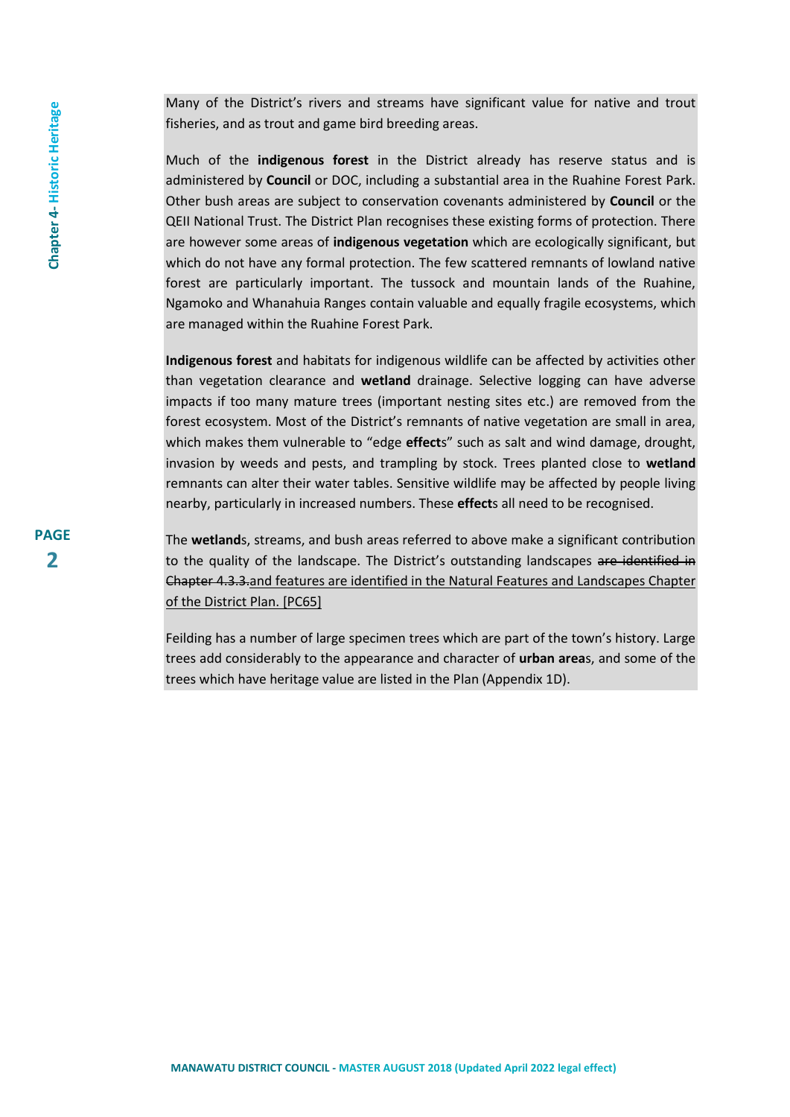Many of the District's rivers and streams have significant value for native and trout fisheries, and as trout and game bird breeding areas.

Much of the **indigenous forest** in the District already has reserve status and is administered by **Council** or DOC, including a substantial area in the Ruahine Forest Park. Other bush areas are subject to conservation covenants administered by **Council** or the QEII National Trust. The District Plan recognises these existing forms of protection. There are however some areas of **indigenous vegetation** which are ecologically significant, but which do not have any formal protection. The few scattered remnants of lowland native forest are particularly important. The tussock and mountain lands of the Ruahine, Ngamoko and Whanahuia Ranges contain valuable and equally fragile ecosystems, which are managed within the Ruahine Forest Park.

**Indigenous forest** and habitats for indigenous wildlife can be affected by activities other than vegetation clearance and **wetland** drainage. Selective logging can have adverse impacts if too many mature trees (important nesting sites etc.) are removed from the forest ecosystem. Most of the District's remnants of native vegetation are small in area, which makes them vulnerable to "edge **effect**s" such as salt and wind damage, drought, invasion by weeds and pests, and trampling by stock. Trees planted close to **wetland** remnants can alter their water tables. Sensitive wildlife may be affected by people living nearby, particularly in increased numbers. These **effect**s all need to be recognised.

The **wetland**s, streams, and bush areas referred to above make a significant contribution to the quality of the landscape. The District's outstanding landscapes are identified in Chapter 4.3.3.and features are identified in the Natural Features and Landscapes Chapter of the District Plan. [PC65]

Feilding has a number of large specimen trees which are part of the town's history. Large trees add considerably to the appearance and character of **urban area**s, and some of the trees which have heritage value are listed in the Plan (Appendix 1D).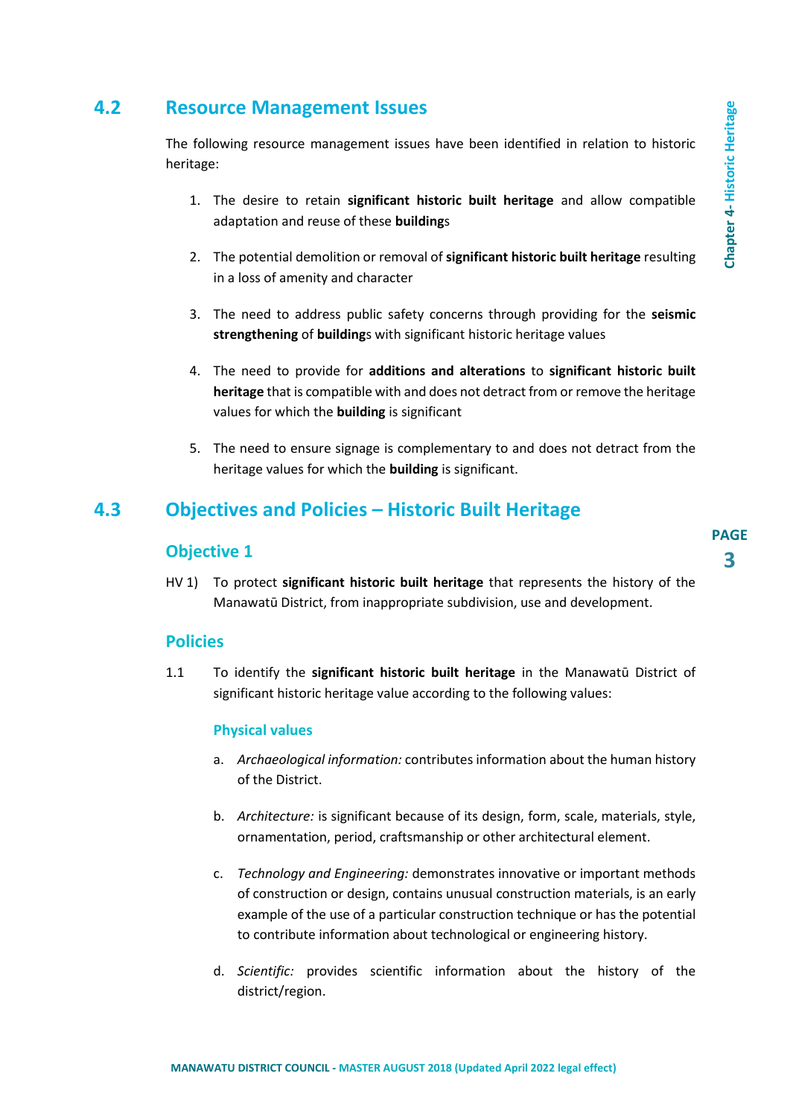## <span id="page-6-0"></span>**4.2 Resource Management Issues**

The following resource management issues have been identified in relation to historic heritage:

- 1. The desire to retain **significant historic built heritage** and allow compatible adaptation and reuse of these **building**s
- 2. The potential demolition or removal of **significant historic built heritage** resulting in a loss of amenity and character
- 3. The need to address public safety concerns through providing for the **seismic strengthening** of **building**s with significant historic heritage values
- 4. The need to provide for **additions and alterations** to **significant historic built heritage** that is compatible with and does not detract from or remove the heritage values for which the **building** is significant
- 5. The need to ensure signage is complementary to and does not detract from the heritage values for which the **building** is significant.

## <span id="page-6-1"></span>**4.3 Objectives and Policies – Historic Built Heritage**

#### **Objective 1**

HV 1) To protect **significant historic built heritage** that represents the history of the Manawatū District, from inappropriate subdivision, use and development.

### **Policies**

1.1 To identify the **significant historic built heritage** in the Manawatū District of significant historic heritage value according to the following values:

#### **Physical values**

- a. *Archaeological information:* contributes information about the human history of the District.
- b. *Architecture:* is significant because of its design, form, scale, materials, style, ornamentation, period, craftsmanship or other architectural element.
- c. *Technology and Engineering:* demonstrates innovative or important methods of construction or design, contains unusual construction materials, is an early example of the use of a particular construction technique or has the potential to contribute information about technological or engineering history.
- d. *Scientific:* provides scientific information about the history of the district/region.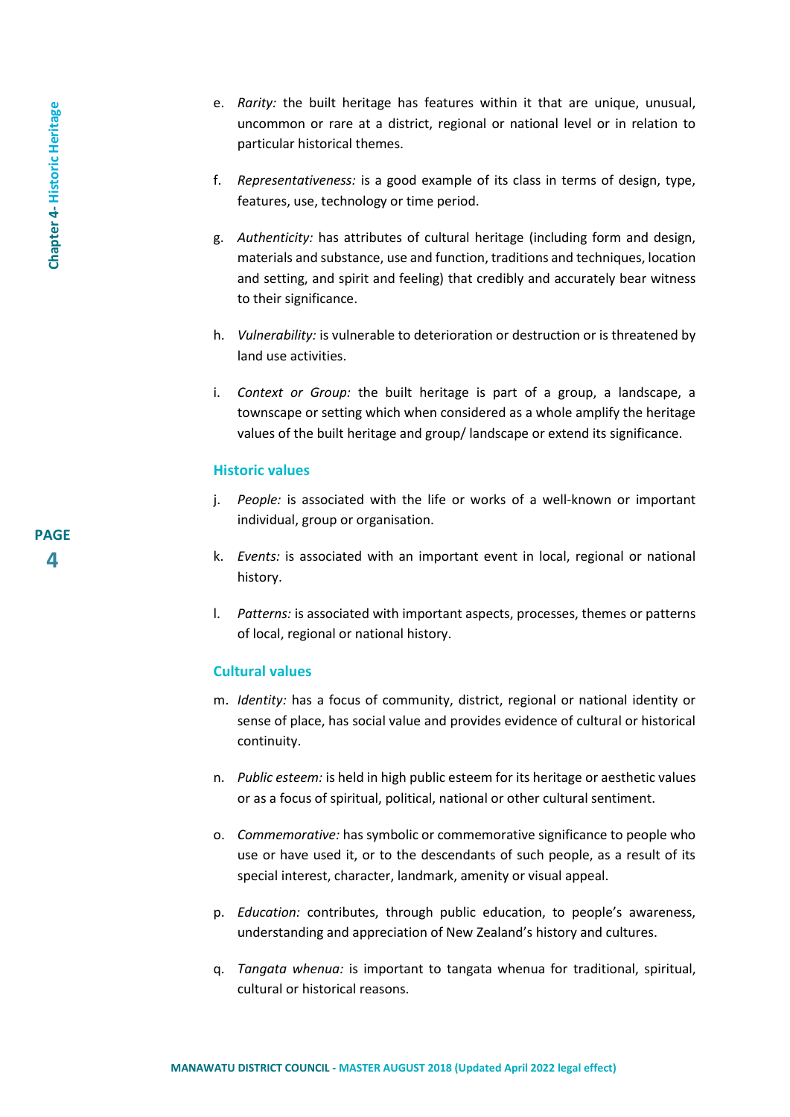- e. *Rarity:* the built heritage has features within it that are unique, unusual, uncommon or rare at a district, regional or national level or in relation to particular historical themes.
- f. *Representativeness:* is a good example of its class in terms of design, type, features, use, technology or time period.
- g. *Authenticity:* has attributes of cultural heritage (including form and design, materials and substance, use and function, traditions and techniques, location and setting, and spirit and feeling) that credibly and accurately bear witness to their significance.
- h. *Vulnerability:* is vulnerable to deterioration or destruction or is threatened by land use activities.
- i. *Context or Group:* the built heritage is part of a group, a landscape, a townscape or setting which when considered as a whole amplify the heritage values of the built heritage and group/ landscape or extend its significance.

#### **Historic values**

- j. *People:* is associated with the life or works of a well-known or important individual, group or organisation.
- k. *Events:* is associated with an important event in local, regional or national history.
- l. *Patterns:* is associated with important aspects, processes, themes or patterns of local, regional or national history.

#### **Cultural values**

- m. *Identity:* has a focus of community, district, regional or national identity or sense of place, has social value and provides evidence of cultural or historical continuity.
- n. *Public esteem:* is held in high public esteem for its heritage or aesthetic values or as a focus of spiritual, political, national or other cultural sentiment.
- o. *Commemorative:* has symbolic or commemorative significance to people who use or have used it, or to the descendants of such people, as a result of its special interest, character, landmark, amenity or visual appeal.
- p. *Education:* contributes, through public education, to people's awareness, understanding and appreciation of New Zealand's history and cultures.
- q. *Tangata whenua:* is important to tangata whenua for traditional, spiritual, cultural or historical reasons.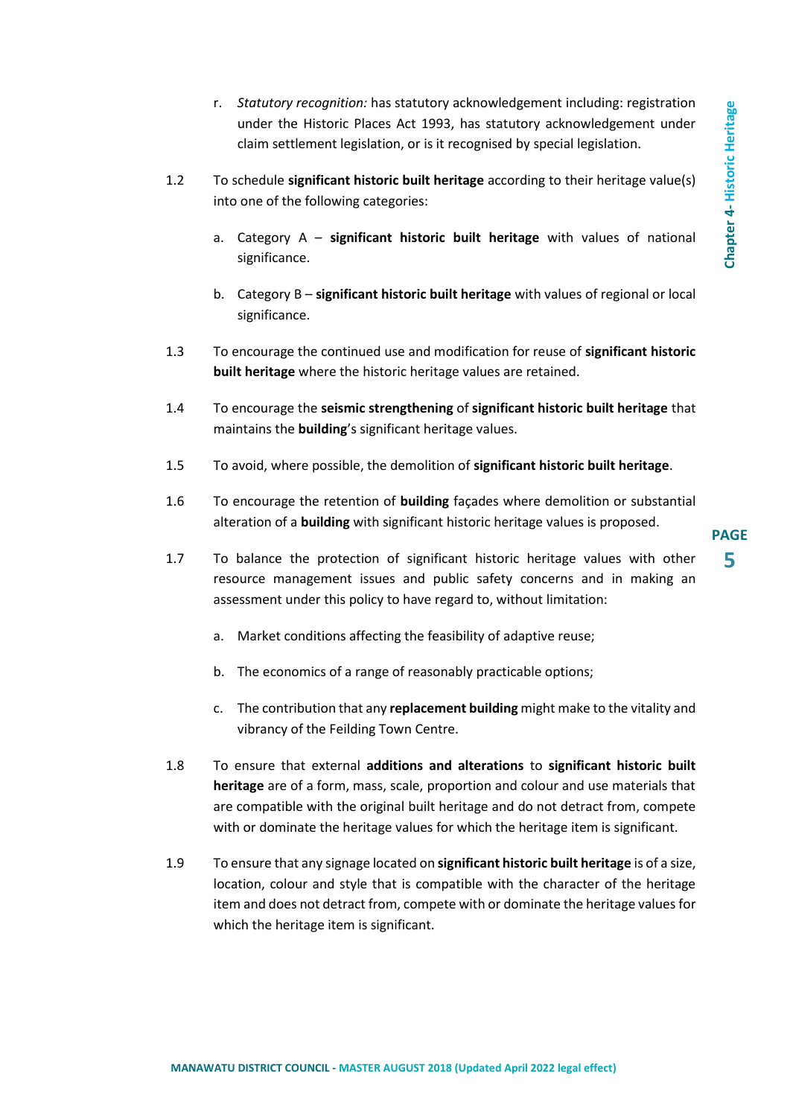- r. *Statutory recognition:* has statutory acknowledgement including: registration under the Historic Places Act 1993, has statutory acknowledgement under claim settlement legislation, or is it recognised by special legislation.
- 1.2 To schedule **significant historic built heritage** according to their heritage value(s) into one of the following categories:
	- a. Category A **significant historic built heritage** with values of national significance.
	- b. Category B **significant historic built heritage** with values of regional or local significance.
- 1.3 To encourage the continued use and modification for reuse of **significant historic built heritage** where the historic heritage values are retained.
- 1.4 To encourage the **seismic strengthening** of **significant historic built heritage** that maintains the **building**'s significant heritage values.
- 1.5 To avoid, where possible, the demolition of **significant historic built heritage**.
- 1.6 To encourage the retention of **building** façades where demolition or substantial alteration of a **building** with significant historic heritage values is proposed.
- 1.7 To balance the protection of significant historic heritage values with other resource management issues and public safety concerns and in making an assessment under this policy to have regard to, without limitation:
	- a. Market conditions affecting the feasibility of adaptive reuse;
	- b. The economics of a range of reasonably practicable options;
	- c. The contribution that any **replacement building** might make to the vitality and vibrancy of the Feilding Town Centre.
- 1.8 To ensure that external **additions and alterations** to **significant historic built heritage** are of a form, mass, scale, proportion and colour and use materials that are compatible with the original built heritage and do not detract from, compete with or dominate the heritage values for which the heritage item is significant.
- 1.9 To ensure that any signage located on **significant historic built heritage** is of a size, location, colour and style that is compatible with the character of the heritage item and does not detract from, compete with or dominate the heritage values for which the heritage item is significant.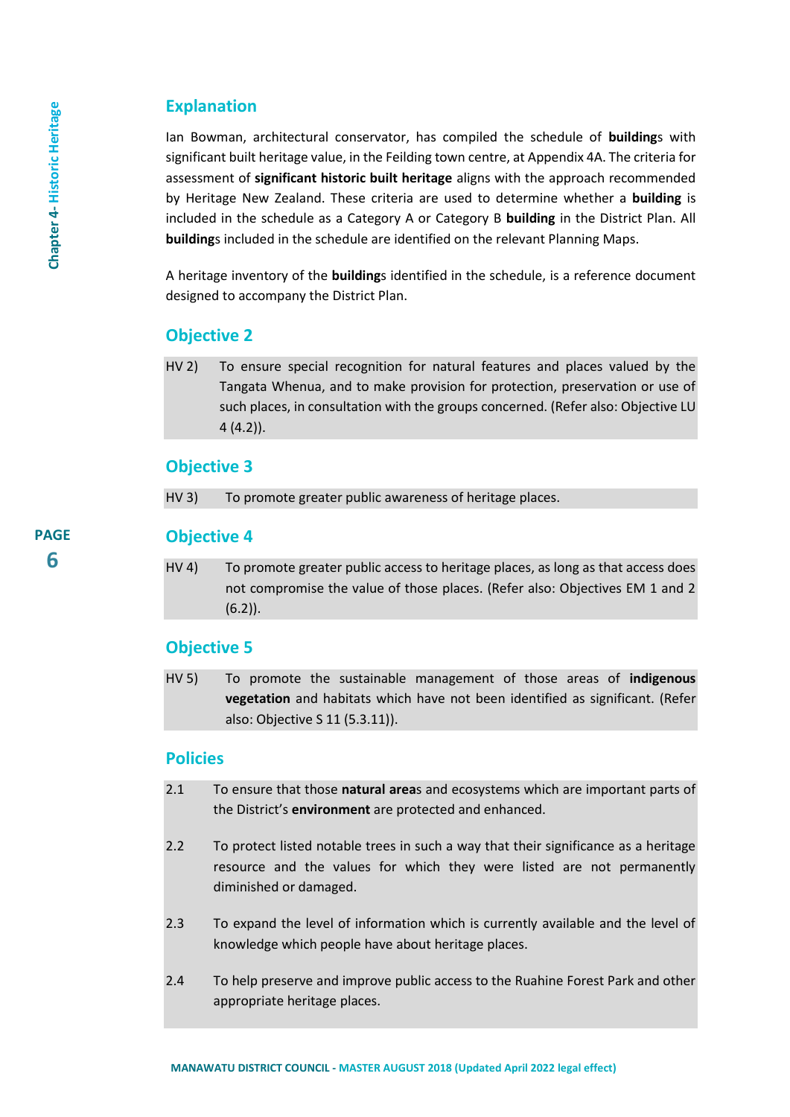### **Explanation**

Ian Bowman, architectural conservator, has compiled the schedule of **building**s with significant built heritage value, in the Feilding town centre, at Appendix 4A. The criteria for assessment of **significant historic built heritage** aligns with the approach recommended by Heritage New Zealand. These criteria are used to determine whether a **building** is included in the schedule as a Category A or Category B **building** in the District Plan. All **building**s included in the schedule are identified on the relevant Planning Maps.

A heritage inventory of the **building**s identified in the schedule, is a reference document designed to accompany the District Plan.

### **Objective 2**

HV 2) To ensure special recognition for natural features and places valued by the Tangata Whenua, and to make provision for protection, preservation or use of such places, in consultation with the groups concerned. (Refer also: Objective LU 4 (4.2)).

#### **Objective 3**

HV 3) To promote greater public awareness of heritage places.

#### **Objective 4**

HV 4) To promote greater public access to heritage places, as long as that access does not compromise the value of those places. (Refer also: Objectives EM 1 and 2  $(6.2)$ .

### **Objective 5**

HV 5) To promote the sustainable management of those areas of **indigenous vegetation** and habitats which have not been identified as significant. (Refer also: Objective S 11 (5.3.11)).

#### **Policies**

- 2.1 To ensure that those **natural area**s and ecosystems which are important parts of the District's **environment** are protected and enhanced.
- 2.2 To protect listed notable trees in such a way that their significance as a heritage resource and the values for which they were listed are not permanently diminished or damaged.
- 2.3 To expand the level of information which is currently available and the level of knowledge which people have about heritage places.
- 2.4 To help preserve and improve public access to the Ruahine Forest Park and other appropriate heritage places.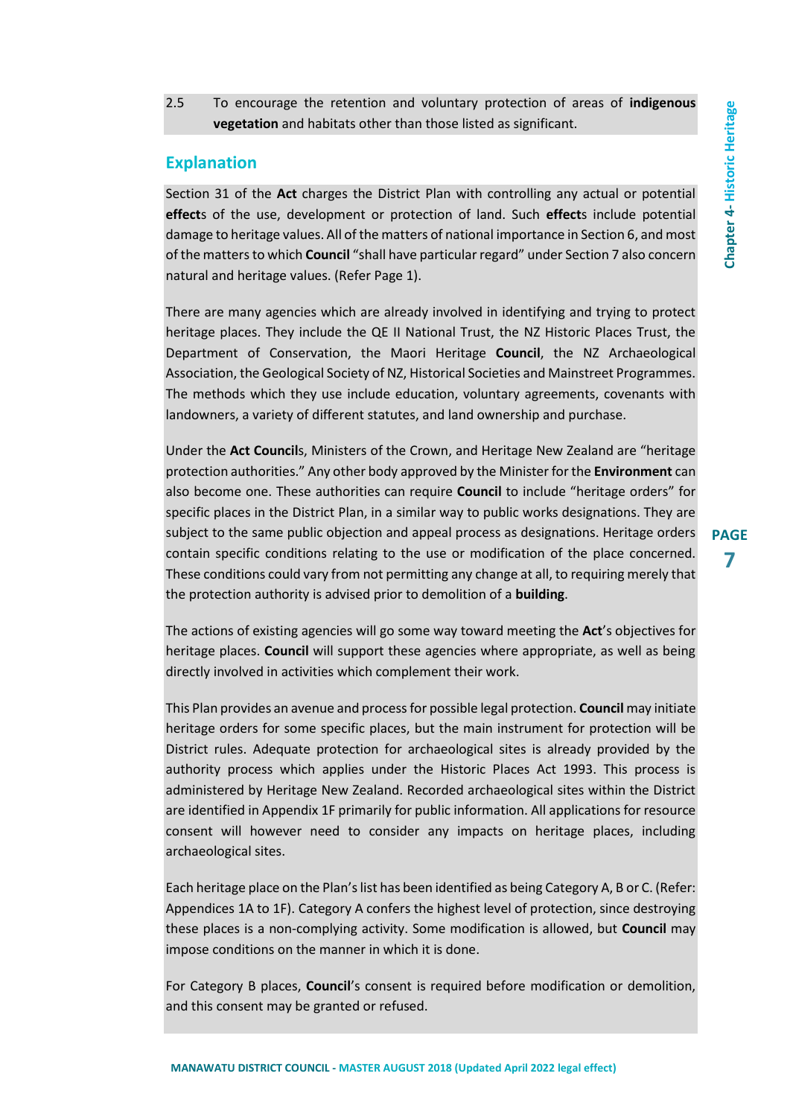2.5 To encourage the retention and voluntary protection of areas of **indigenous vegetation** and habitats other than those listed as significant.

#### **Explanation**

Section 31 of the **Act** charges the District Plan with controlling any actual or potential **effect**s of the use, development or protection of land. Such **effect**s include potential damage to heritage values. All of the matters of national importance in Section 6, and most of the matters to which **Council** "shall have particular regard" under Section 7 also concern natural and heritage values. (Refer Page 1).

There are many agencies which are already involved in identifying and trying to protect heritage places. They include the QE II National Trust, the NZ Historic Places Trust, the Department of Conservation, the Maori Heritage **Council**, the NZ Archaeological Association, the Geological Society of NZ, Historical Societies and Mainstreet Programmes. The methods which they use include education, voluntary agreements, covenants with landowners, a variety of different statutes, and land ownership and purchase.

Under the **Act Council**s, Ministers of the Crown, and Heritage New Zealand are "heritage protection authorities." Any other body approved by the Minister for the **Environment** can also become one. These authorities can require **Council** to include "heritage orders" for specific places in the District Plan, in a similar way to public works designations. They are subject to the same public objection and appeal process as designations. Heritage orders contain specific conditions relating to the use or modification of the place concerned. These conditions could vary from not permitting any change at all, to requiring merely that the protection authority is advised prior to demolition of a **building**.

The actions of existing agencies will go some way toward meeting the **Act**'s objectives for heritage places. **Council** will support these agencies where appropriate, as well as being directly involved in activities which complement their work.

This Plan provides an avenue and process for possible legal protection. **Council** may initiate heritage orders for some specific places, but the main instrument for protection will be District rules. Adequate protection for archaeological sites is already provided by the authority process which applies under the Historic Places Act 1993. This process is administered by Heritage New Zealand. Recorded archaeological sites within the District are identified in Appendix 1F primarily for public information. All applications for resource consent will however need to consider any impacts on heritage places, including archaeological sites.

Each heritage place on the Plan's list has been identified as being Category A, B or C. (Refer: Appendices 1A to 1F). Category A confers the highest level of protection, since destroying these places is a non-complying activity. Some modification is allowed, but **Council** may impose conditions on the manner in which it is done.

For Category B places, **Council**'s consent is required before modification or demolition, and this consent may be granted or refused.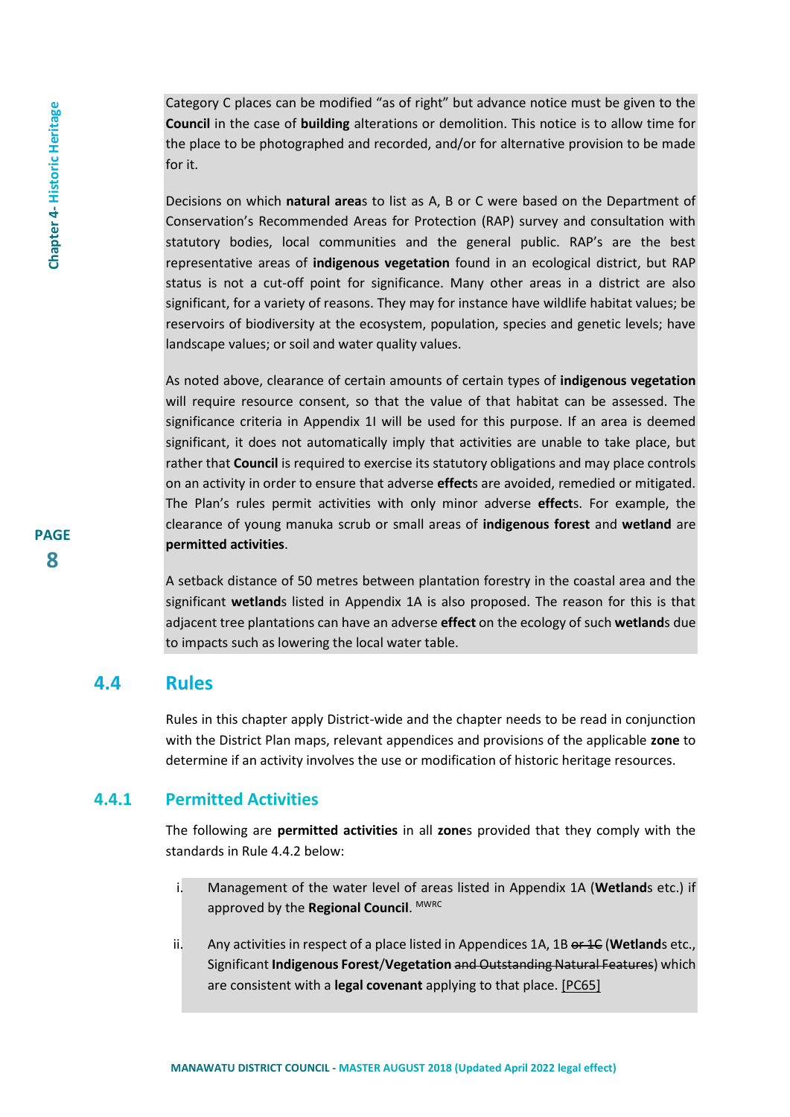Category C places can be modified "as of right" but advance notice must be given to the **Council** in the case of **building** alterations or demolition. This notice is to allow time for the place to be photographed and recorded, and/or for alternative provision to be made for it.

Decisions on which **natural area**s to list as A, B or C were based on the Department of Conservation's Recommended Areas for Protection (RAP) survey and consultation with statutory bodies, local communities and the general public. RAP's are the best representative areas of **indigenous vegetation** found in an ecological district, but RAP status is not a cut-off point for significance. Many other areas in a district are also significant, for a variety of reasons. They may for instance have wildlife habitat values; be reservoirs of biodiversity at the ecosystem, population, species and genetic levels; have landscape values; or soil and water quality values.

As noted above, clearance of certain amounts of certain types of **indigenous vegetation** will require resource consent, so that the value of that habitat can be assessed. The significance criteria in Appendix 1I will be used for this purpose. If an area is deemed significant, it does not automatically imply that activities are unable to take place, but rather that **Council** is required to exercise its statutory obligations and may place controls on an activity in order to ensure that adverse **effect**s are avoided, remedied or mitigated. The Plan's rules permit activities with only minor adverse **effect**s. For example, the clearance of young manuka scrub or small areas of **indigenous forest** and **wetland** are **permitted activities**.

A setback distance of 50 metres between plantation forestry in the coastal area and the significant **wetland**s listed in Appendix 1A is also proposed. The reason for this is that adjacent tree plantations can have an adverse **effect** on the ecology of such **wetland**s due to impacts such as lowering the local water table.

### <span id="page-11-0"></span>**4.4 Rules**

Rules in this chapter apply District-wide and the chapter needs to be read in conjunction with the District Plan maps, relevant appendices and provisions of the applicable **zone** to determine if an activity involves the use or modification of historic heritage resources.

#### <span id="page-11-1"></span>**4.4.1 Permitted Activities**

The following are **permitted activities** in all **zone**s provided that they comply with the standards in Rule 4.4.2 below:

- i. Management of the water level of areas listed in Appendix 1A (**Wetland**s etc.) if approved by the Regional Council. MWRC
- ii. Any activities in respect of a place listed in Appendices 1A, 1B or 1C (Wetlands etc., Significant **Indigenous Forest**/**Vegetation** and Outstanding Natural Features) which are consistent with a **legal covenant** applying to that place. [PC65]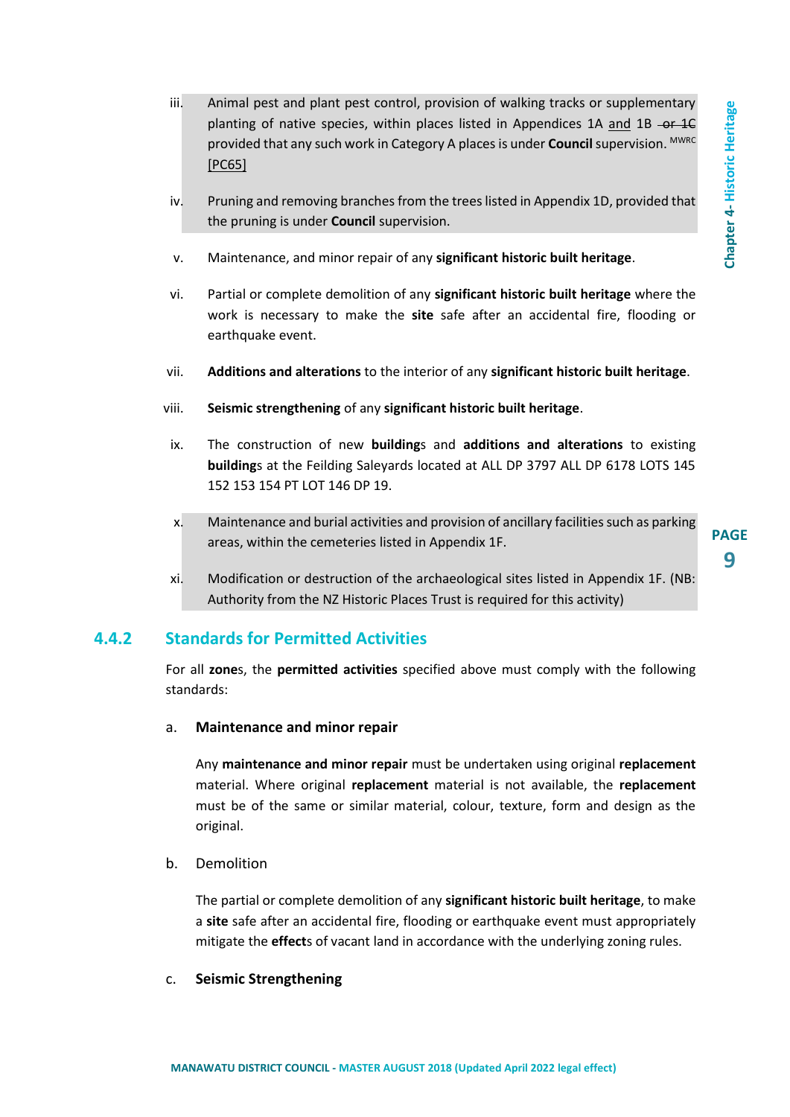- iii. Animal pest and plant pest control, provision of walking tracks or supplementary planting of native species, within places listed in Appendices 1A and 1B -or 1C provided that any such work in Category A places is under **Council** supervision. MWRC [PC65]
- iv. Pruning and removing branches from the trees listed in Appendix 1D, provided that the pruning is under **Council** supervision.
- v. Maintenance, and minor repair of any **significant historic built heritage**.
- vi. Partial or complete demolition of any **significant historic built heritage** where the work is necessary to make the **site** safe after an accidental fire, flooding or earthquake event.
- vii. **Additions and alterations** to the interior of any **significant historic built heritage**.
- viii. **Seismic strengthening** of any **significant historic built heritage**.
- ix. The construction of new **building**s and **additions and alterations** to existing **building**s at the Feilding Saleyards located at ALL DP 3797 ALL DP 6178 LOTS 145 152 153 154 PT LOT 146 DP 19.
- x. Maintenance and burial activities and provision of ancillary facilities such as parking areas, within the cemeteries listed in Appendix 1F.
- **PAGE 9**
- xi. Modification or destruction of the archaeological sites listed in Appendix 1F. (NB: Authority from the NZ Historic Places Trust is required for this activity)

### <span id="page-12-0"></span>**4.4.2 Standards for Permitted Activities**

For all **zone**s, the **permitted activities** specified above must comply with the following standards:

a. **Maintenance and minor repair**

Any **maintenance and minor repair** must be undertaken using original **replacement** material. Where original **replacement** material is not available, the **replacement** must be of the same or similar material, colour, texture, form and design as the original.

b. Demolition

The partial or complete demolition of any **significant historic built heritage**, to make a **site** safe after an accidental fire, flooding or earthquake event must appropriately mitigate the **effect**s of vacant land in accordance with the underlying zoning rules.

c. **Seismic Strengthening**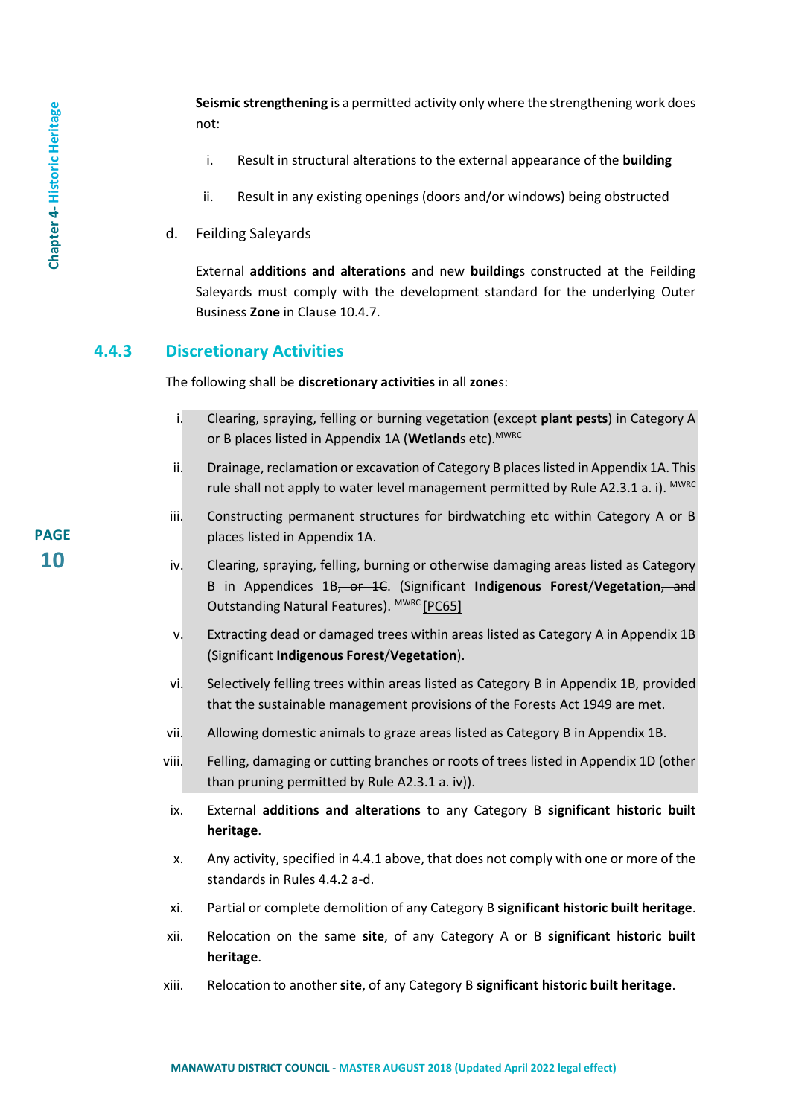**Seismic strengthening** is a permitted activity only where the strengthening work does not:

- i. Result in structural alterations to the external appearance of the **building**
- ii. Result in any existing openings (doors and/or windows) being obstructed
- d. Feilding Saleyards

External **additions and alterations** and new **building**s constructed at the Feilding Saleyards must comply with the development standard for the underlying Outer Business **Zone** in Clause 10.4.7.

#### <span id="page-13-0"></span>**4.4.3 Discretionary Activities**

The following shall be **discretionary activities** in all **zone**s:

- i. Clearing, spraying, felling or burning vegetation (except **plant pests**) in Category A or B places listed in Appendix 1A (Wetlands etc). MWRC
- ii. Drainage, reclamation or excavation of Category B places listed in Appendix 1A. This rule shall not apply to water level management permitted by Rule A2.3.1 a. i). MWRC
- iii. Constructing permanent structures for birdwatching etc within Category A or B places listed in Appendix 1A.
- iv. Clearing, spraying, felling, burning or otherwise damaging areas listed as Category B in Appendices 1B, or 1C. (Significant **Indigenous Forest**/**Vegetation**, and Outstanding Natural Features). MWRC [PC65]
- v. Extracting dead or damaged trees within areas listed as Category A in Appendix 1B (Significant **Indigenous Forest**/**Vegetation**).
- vi. Selectively felling trees within areas listed as Category B in Appendix 1B, provided that the sustainable management provisions of the Forests Act 1949 are met.
- vii. Allowing domestic animals to graze areas listed as Category B in Appendix 1B.
- viii. Felling, damaging or cutting branches or roots of trees listed in Appendix 1D (other than pruning permitted by Rule A2.3.1 a. iv)).
- ix. External **additions and alterations** to any Category B **significant historic built heritage**.
- x. Any activity, specified in 4.4.1 above, that does not comply with one or more of the standards in Rules 4.4.2 a-d.
- xi. Partial or complete demolition of any Category B **significant historic built heritage**.
- xii. Relocation on the same **site**, of any Category A or B **significant historic built heritage**.
- xiii. Relocation to another **site**, of any Category B **significant historic built heritage**.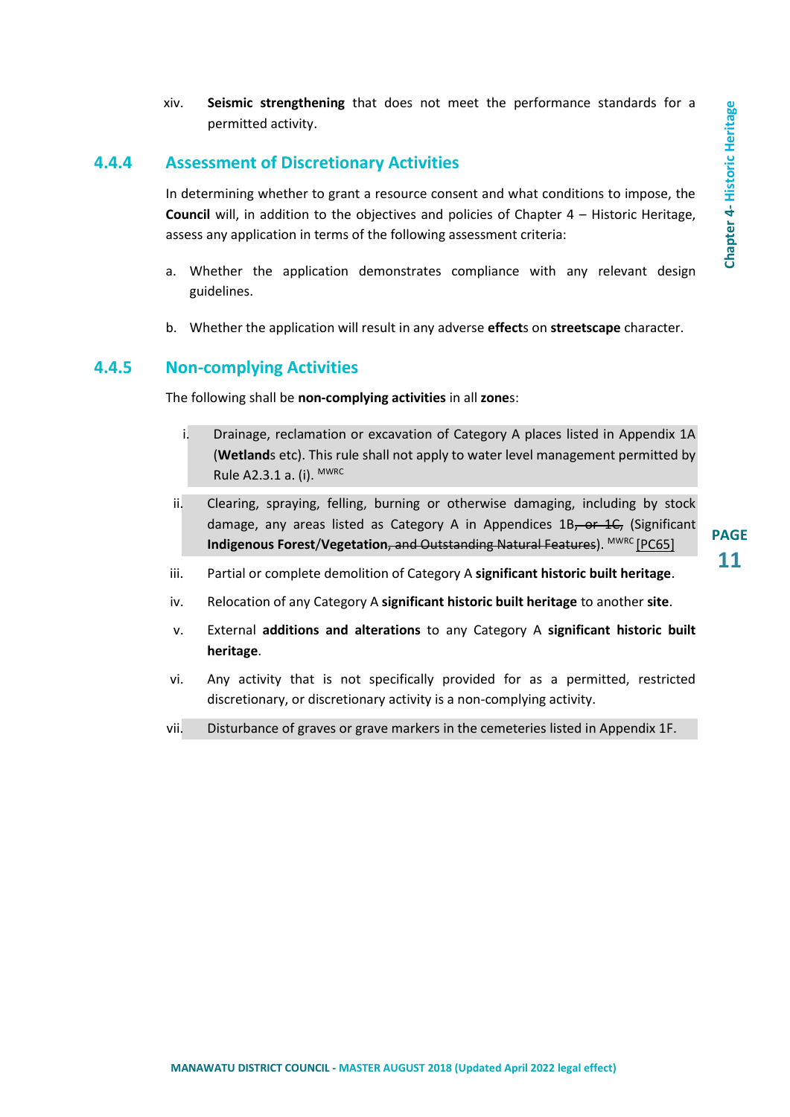xiv. **Seismic strengthening** that does not meet the performance standards for a permitted activity.

#### <span id="page-14-0"></span>**4.4.4 Assessment of Discretionary Activities**

In determining whether to grant a resource consent and what conditions to impose, the **Council** will, in addition to the objectives and policies of Chapter 4 – Historic Heritage, assess any application in terms of the following assessment criteria:

- a. Whether the application demonstrates compliance with any relevant design guidelines.
- b. Whether the application will result in any adverse **effect**s on **streetscape** character.

#### <span id="page-14-1"></span>**4.4.5 Non-complying Activities**

The following shall be **non-complying activities** in all **zone**s:

- i. Drainage, reclamation or excavation of Category A places listed in Appendix 1A (**Wetland**s etc). This rule shall not apply to water level management permitted by Rule A2.3.1 a. (i). MWRC
- ii. Clearing, spraying, felling, burning or otherwise damaging, including by stock damage, any areas listed as Category A in Appendices  $1B<sub>r</sub>$  or  $1C<sub>r</sub>$  (Significant **Indigenous Forest**/**Vegetation**, and Outstanding Natural Features). MWRC [PC65]

- iii. Partial or complete demolition of Category A **significant historic built heritage**.
- iv. Relocation of any Category A **significant historic built heritage** to another **site**.
- v. External **additions and alterations** to any Category A **significant historic built heritage**.
- vi. Any activity that is not specifically provided for as a permitted, restricted discretionary, or discretionary activity is a non-complying activity.
- vii. Disturbance of graves or grave markers in the cemeteries listed in Appendix 1F.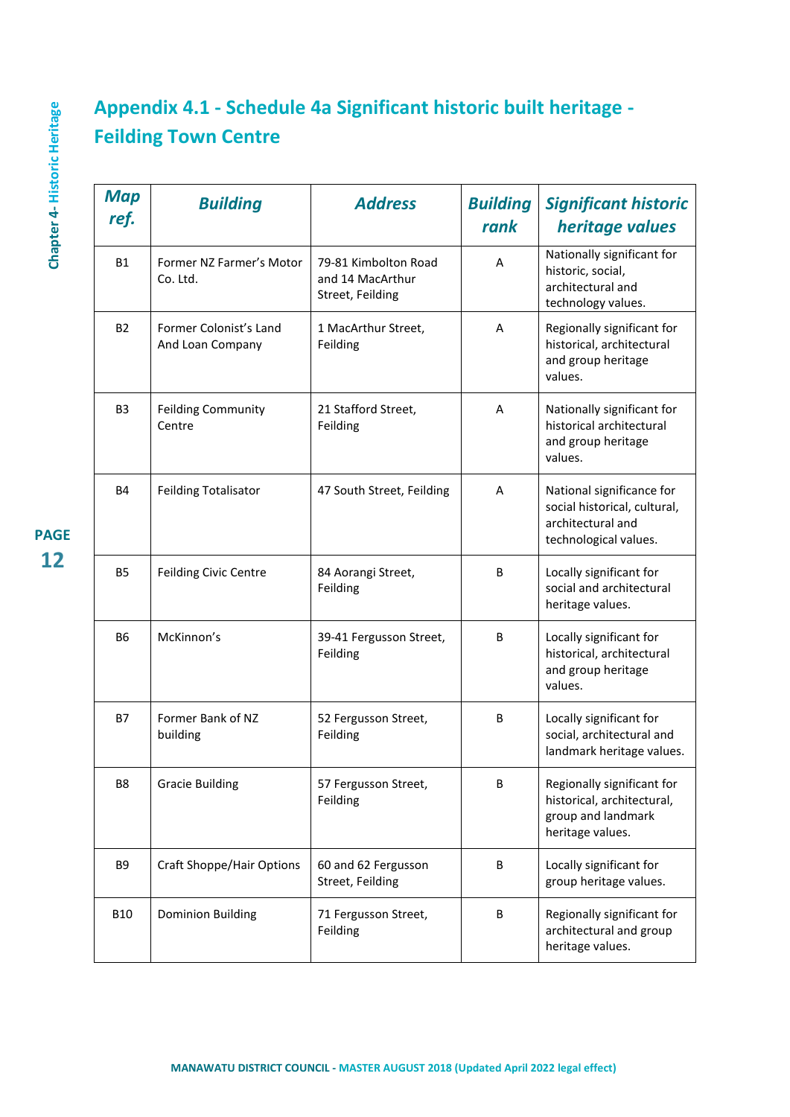# <span id="page-15-0"></span>**Appendix 4.1 - Schedule 4a Significant historic built heritage - Feilding Town Centre**

| <b>Map</b><br>ref. | <b>Building</b>                            | <b>Address</b>                                               | <b>Building</b><br>rank | <b>Significant historic</b><br>heritage values                                                          |
|--------------------|--------------------------------------------|--------------------------------------------------------------|-------------------------|---------------------------------------------------------------------------------------------------------|
| <b>B1</b>          | Former NZ Farmer's Motor<br>Co. Ltd.       | 79-81 Kimbolton Road<br>and 14 MacArthur<br>Street, Feilding | А                       | Nationally significant for<br>historic, social,<br>architectural and<br>technology values.              |
| <b>B2</b>          | Former Colonist's Land<br>And Loan Company | 1 MacArthur Street,<br>Feilding                              | A                       | Regionally significant for<br>historical, architectural<br>and group heritage<br>values.                |
| B3                 | <b>Feilding Community</b><br>Centre        | 21 Stafford Street,<br>Feilding                              | A                       | Nationally significant for<br>historical architectural<br>and group heritage<br>values.                 |
| <b>B4</b>          | <b>Feilding Totalisator</b>                | 47 South Street, Feilding                                    | Α                       | National significance for<br>social historical, cultural,<br>architectural and<br>technological values. |
| <b>B5</b>          | <b>Feilding Civic Centre</b>               | 84 Aorangi Street,<br>Feilding                               | B                       | Locally significant for<br>social and architectural<br>heritage values.                                 |
| <b>B6</b>          | McKinnon's                                 | 39-41 Fergusson Street,<br>Feilding                          | B                       | Locally significant for<br>historical, architectural<br>and group heritage<br>values.                   |
| <b>B7</b>          | Former Bank of NZ<br>building              | 52 Fergusson Street,<br>Feilding                             | B                       | Locally significant for<br>social, architectural and<br>landmark heritage values.                       |
| B8                 | <b>Gracie Building</b>                     | 57 Fergusson Street,<br>Feilding                             | B                       | Regionally significant for<br>historical, architectural,<br>group and landmark<br>heritage values.      |
| <b>B9</b>          | <b>Craft Shoppe/Hair Options</b>           | 60 and 62 Fergusson<br>Street, Feilding                      | B                       | Locally significant for<br>group heritage values.                                                       |
| <b>B10</b>         | <b>Dominion Building</b>                   | 71 Fergusson Street,<br>Feilding                             | B                       | Regionally significant for<br>architectural and group<br>heritage values.                               |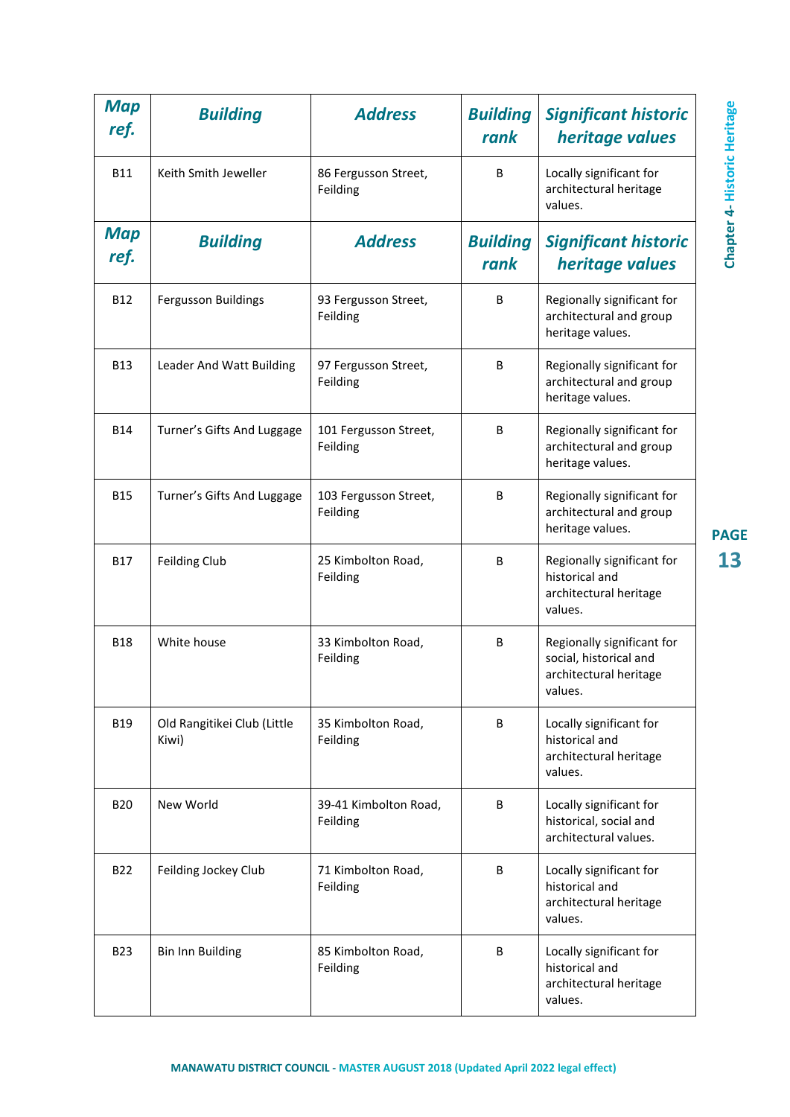| <b>Map</b><br>ref. | <b>Building</b>                      | <b>Address</b>                    | <b>Building</b><br>rank | <b>Significant historic</b><br>heritage values                                            |
|--------------------|--------------------------------------|-----------------------------------|-------------------------|-------------------------------------------------------------------------------------------|
| <b>B11</b>         | Keith Smith Jeweller                 | 86 Fergusson Street,<br>Feilding  | B                       | Locally significant for<br>architectural heritage<br>values.                              |
| <b>Map</b><br>ref. | <b>Building</b>                      | <b>Address</b>                    | <b>Building</b><br>rank | <b>Significant historic</b><br>heritage values                                            |
| <b>B12</b>         | Fergusson Buildings                  | 93 Fergusson Street,<br>Feilding  | B                       | Regionally significant for<br>architectural and group<br>heritage values.                 |
| <b>B13</b>         | Leader And Watt Building             | 97 Fergusson Street,<br>Feilding  | B                       | Regionally significant for<br>architectural and group<br>heritage values.                 |
| <b>B14</b>         | Turner's Gifts And Luggage           | 101 Fergusson Street,<br>Feilding | B                       | Regionally significant for<br>architectural and group<br>heritage values.                 |
| <b>B15</b>         | Turner's Gifts And Luggage           | 103 Fergusson Street,<br>Feilding | B                       | Regionally significant for<br>architectural and group<br>heritage values.                 |
| <b>B17</b>         | <b>Feilding Club</b>                 | 25 Kimbolton Road,<br>Feilding    | B                       | Regionally significant for<br>historical and<br>architectural heritage<br>values.         |
| <b>B18</b>         | White house                          | 33 Kimbolton Road,<br>Feilding    | B                       | Regionally significant for<br>social, historical and<br>architectural heritage<br>values. |
| <b>B19</b>         | Old Rangitikei Club (Little<br>Kiwi) | 35 Kimbolton Road,<br>Feilding    | B                       | Locally significant for<br>historical and<br>architectural heritage<br>values.            |
| <b>B20</b>         | New World                            | 39-41 Kimbolton Road,<br>Feilding | B                       | Locally significant for<br>historical, social and<br>architectural values.                |
| <b>B22</b>         | Feilding Jockey Club                 | 71 Kimbolton Road,<br>Feilding    | B                       | Locally significant for<br>historical and<br>architectural heritage<br>values.            |
| <b>B23</b>         | <b>Bin Inn Building</b>              | 85 Kimbolton Road,<br>Feilding    | B                       | Locally significant for<br>historical and<br>architectural heritage<br>values.            |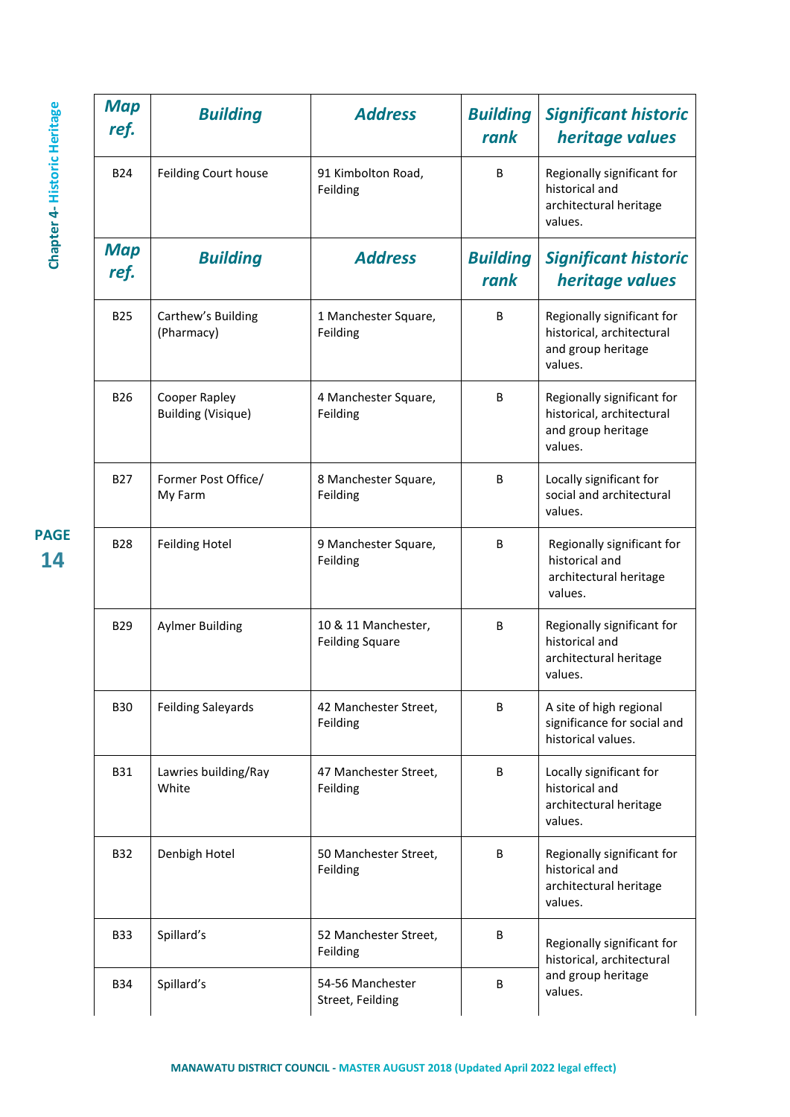| <b>Map</b><br>ref. | <b>Building</b>                            | <b>Address</b>                                | <b>Building</b><br>rank | <b>Significant historic</b><br>heritage values                                           |
|--------------------|--------------------------------------------|-----------------------------------------------|-------------------------|------------------------------------------------------------------------------------------|
| <b>B24</b>         | Feilding Court house                       | 91 Kimbolton Road,<br>Feilding                | В                       | Regionally significant for<br>historical and<br>architectural heritage<br>values.        |
| Map<br>ref.        | <b>Building</b>                            | <b>Address</b>                                | <b>Building</b><br>rank | <b>Significant historic</b><br>heritage values                                           |
| <b>B25</b>         | Carthew's Building<br>(Pharmacy)           | 1 Manchester Square,<br>Feilding              | B                       | Regionally significant for<br>historical, architectural<br>and group heritage<br>values. |
| <b>B26</b>         | Cooper Rapley<br><b>Building (Visique)</b> | 4 Manchester Square,<br>Feilding              | B                       | Regionally significant for<br>historical, architectural<br>and group heritage<br>values. |
| <b>B27</b>         | Former Post Office/<br>My Farm             | 8 Manchester Square,<br>Feilding              | B                       | Locally significant for<br>social and architectural<br>values.                           |
| <b>B28</b>         | <b>Feilding Hotel</b>                      | 9 Manchester Square,<br>Feilding              | B                       | Regionally significant for<br>historical and<br>architectural heritage<br>values.        |
| B <sub>29</sub>    | <b>Aylmer Building</b>                     | 10 & 11 Manchester,<br><b>Feilding Square</b> | B                       | Regionally significant for<br>historical and<br>architectural heritage<br>values.        |
| <b>B30</b>         | <b>Feilding Saleyards</b>                  | 42 Manchester Street,<br>Feilding             | B                       | A site of high regional<br>significance for social and<br>historical values.             |
| <b>B31</b>         | Lawries building/Ray<br>White              | 47 Manchester Street,<br>Feilding             | B                       | Locally significant for<br>historical and<br>architectural heritage<br>values.           |
| <b>B32</b>         | Denbigh Hotel                              | 50 Manchester Street,<br>Feilding             | B                       | Regionally significant for<br>historical and<br>architectural heritage<br>values.        |
| <b>B33</b>         | Spillard's                                 | 52 Manchester Street,<br>Feilding             | B                       | Regionally significant for<br>historical, architectural<br>and group heritage<br>values. |
| <b>B34</b>         | Spillard's                                 | 54-56 Manchester<br>Street, Feilding          | B                       |                                                                                          |

**Chapter 4- Historic Heritage Chapter 4- Historic Heritage**